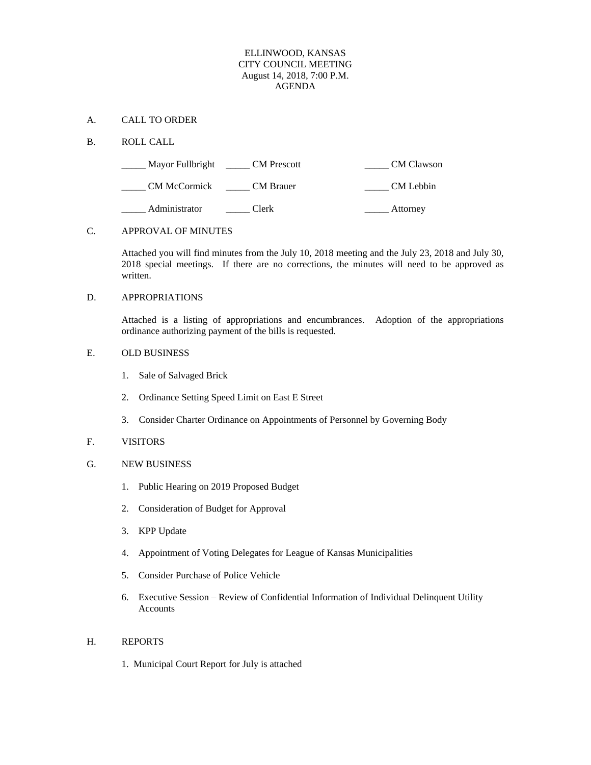### ELLINWOOD, KANSAS CITY COUNCIL MEETING August 14, 2018, 7:00 P.M. AGENDA

### A. CALL TO ORDER

### B. ROLL CALL

| Mayor Fullbright    | <b>CM</b> Prescott | <b>CM</b> Clawson |
|---------------------|--------------------|-------------------|
| <b>CM McCormick</b> | <b>CM</b> Brauer   | CM Lebbin         |
| Administrator       | Clerk              | Attorney          |

# C. APPROVAL OF MINUTES

Attached you will find minutes from the July 10, 2018 meeting and the July 23, 2018 and July 30, 2018 special meetings. If there are no corrections, the minutes will need to be approved as written.

## D. APPROPRIATIONS

Attached is a listing of appropriations and encumbrances. Adoption of the appropriations ordinance authorizing payment of the bills is requested.

# E. OLD BUSINESS

- 1. Sale of Salvaged Brick
- 2. Ordinance Setting Speed Limit on East E Street
- 3. Consider Charter Ordinance on Appointments of Personnel by Governing Body

### F. VISITORS

- G. NEW BUSINESS
	- 1. Public Hearing on 2019 Proposed Budget
	- 2. Consideration of Budget for Approval
	- 3. KPP Update
	- 4. Appointment of Voting Delegates for League of Kansas Municipalities
	- 5. Consider Purchase of Police Vehicle
	- 6. Executive Session Review of Confidential Information of Individual Delinquent Utility Accounts

### H. REPORTS

1. Municipal Court Report for July is attached